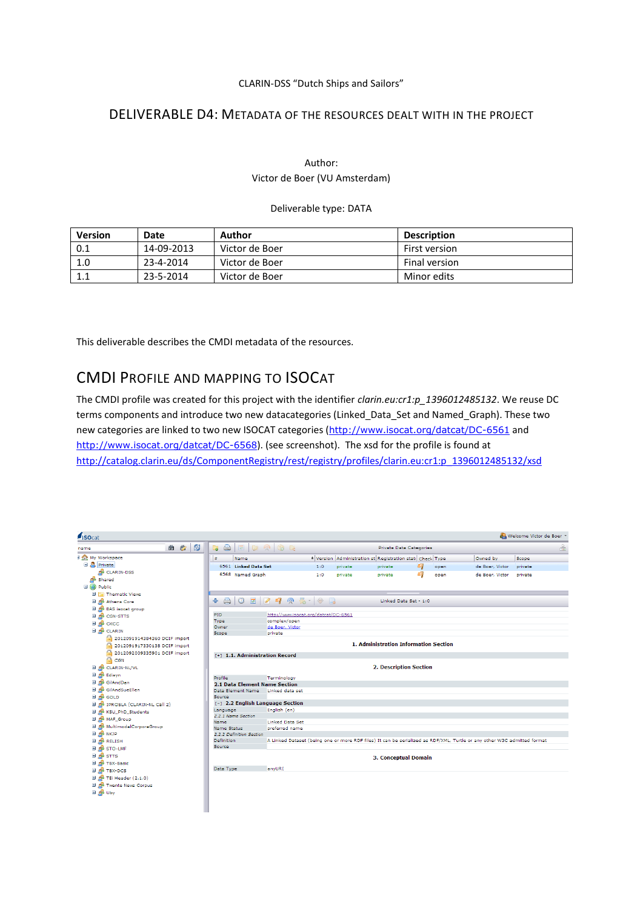### CLARIN-DSS "Dutch Ships and Sailors"

## DELIVERABLE D4: METADATA OF THE RESOURCES DEALT WITH IN THE PROJECT

### Author: Victor de Boer (VU Amsterdam)

#### Deliverable type: DATA

| <b>Version</b> | Date       | Author         | <b>Description</b>   |
|----------------|------------|----------------|----------------------|
| 0.1            | 14-09-2013 | Victor de Boer | First version        |
| 1.0            | 23-4-2014  | Victor de Boer | <b>Final version</b> |
|                | 23-5-2014  | Victor de Boer | Minor edits          |

This deliverable describes the CMDI metadata of the resources.

# CMDI PROFILE AND MAPPING TO ISOCAT

The CMDI profile was created for this project with the identifier *clarin.eu:cr1:p\_1396012485132*. We reuse DC terms components and introduce two new datacategories (Linked\_Data\_Set and Named\_Graph). These two new categories are linked to two new ISOCAT categories (<http://www.isocat.org/datcat/DC-6561> and <http://www.isocat.org/datcat/DC-6568>). (see screenshot). The xsd for the profile is found at [http://catalog.clarin.eu/ds/ComponentRegistry/rest/registry/profiles/clarin.eu:cr1:p\\_1396012485132/xsd](http://catalog.clarin.eu/ds/ComponentRegistry/rest/registry/profiles/clarin.eu:cr1:p_1396012485132/xsd)

| <i><b>ISOcat</b></i>                   |                                                                                                                                                                                                                                                                                                                                                                                                            |                                          |                                |         |                                                                      |                         |      |                                                                                                                         | Welcome Victor de Boer |
|----------------------------------------|------------------------------------------------------------------------------------------------------------------------------------------------------------------------------------------------------------------------------------------------------------------------------------------------------------------------------------------------------------------------------------------------------------|------------------------------------------|--------------------------------|---------|----------------------------------------------------------------------|-------------------------|------|-------------------------------------------------------------------------------------------------------------------------|------------------------|
| R)<br>曲<br>愡<br>name                   | $\qquad \qquad \qquad \Box$<br>$\blacksquare$<br>$\begin{picture}(20,20) \put(0,0){\line(1,0){10}} \put(15,0){\line(1,0){10}} \put(15,0){\line(1,0){10}} \put(15,0){\line(1,0){10}} \put(15,0){\line(1,0){10}} \put(15,0){\line(1,0){10}} \put(15,0){\line(1,0){10}} \put(15,0){\line(1,0){10}} \put(15,0){\line(1,0){10}} \put(15,0){\line(1,0){10}} \put(15,0){\line(1,0){10}} \put(15,0){\line(1$<br>E. | $\odot$ $\blacksquare$                   |                                |         |                                                                      | Private Data Categories |      |                                                                                                                         | 品                      |
| I Int My Workspace                     | ٠<br>Name                                                                                                                                                                                                                                                                                                                                                                                                  |                                          |                                |         | <sup>4</sup> Version Administration st Registration stati Check Type |                         |      | Owned by                                                                                                                | Scope                  |
| <b>B</b> Private                       | 6561 Linked Data Set                                                                                                                                                                                                                                                                                                                                                                                       |                                          | 1:0                            | private | private                                                              | C)                      | open | de Boer, Victor                                                                                                         | private                |
| CLARIN-DSS                             | 6568 Named Graph                                                                                                                                                                                                                                                                                                                                                                                           |                                          | 1:0                            | private | private                                                              | Œ.                      | open | de Boer, Victor                                                                                                         | private                |
| Shared                                 |                                                                                                                                                                                                                                                                                                                                                                                                            |                                          |                                |         |                                                                      |                         |      |                                                                                                                         |                        |
| <b>El (a)</b> Public                   |                                                                                                                                                                                                                                                                                                                                                                                                            |                                          |                                |         |                                                                      |                         |      |                                                                                                                         |                        |
| Ŧ<br>Thematic Views                    |                                                                                                                                                                                                                                                                                                                                                                                                            |                                          |                                |         |                                                                      |                         |      |                                                                                                                         |                        |
| Ŧ<br>Athens Core                       | A<br>$\circledcirc$<br>展<br>4                                                                                                                                                                                                                                                                                                                                                                              | 290                                      | $\mathbb{Z}$ + $\oplus$ $\Box$ |         |                                                                      | Linked Data Set - 1:0   |      |                                                                                                                         |                        |
| <b>El de</b> BAS isocat group          |                                                                                                                                                                                                                                                                                                                                                                                                            |                                          |                                |         |                                                                      |                         |      |                                                                                                                         |                        |
| <b>ED AND CGN-STTS</b>                 | PID                                                                                                                                                                                                                                                                                                                                                                                                        | http://www.isocat.org/datcat/DC-6561     |                                |         |                                                                      |                         |      |                                                                                                                         |                        |
| ⊞ дв сксс                              | Type                                                                                                                                                                                                                                                                                                                                                                                                       | complex/open                             |                                |         |                                                                      |                         |      |                                                                                                                         |                        |
| <b>EI AB</b> CLARIN                    | Owner<br>Scope                                                                                                                                                                                                                                                                                                                                                                                             | de Boer, Victor<br>private               |                                |         |                                                                      |                         |      |                                                                                                                         |                        |
| A<br>2012091914384360 DCIF import      |                                                                                                                                                                                                                                                                                                                                                                                                            |                                          |                                |         |                                                                      |                         |      |                                                                                                                         |                        |
| A<br>2012091917330138 DCIF import      |                                                                                                                                                                                                                                                                                                                                                                                                            |                                          |                                |         | 1. Administration Information Section                                |                         |      |                                                                                                                         |                        |
| 圇<br>2012092009335901 DCIF import      |                                                                                                                                                                                                                                                                                                                                                                                                            |                                          |                                |         |                                                                      |                         |      |                                                                                                                         |                        |
| A<br>CGN                               | [+] 1.1. Administration Record                                                                                                                                                                                                                                                                                                                                                                             |                                          |                                |         |                                                                      |                         |      |                                                                                                                         |                        |
| E CLARIN-NL/VL                         |                                                                                                                                                                                                                                                                                                                                                                                                            |                                          |                                |         | <b>2. Description Section</b>                                        |                         |      |                                                                                                                         |                        |
| 田 d <sup>3</sup> Edisyn                | Profile                                                                                                                                                                                                                                                                                                                                                                                                    | Terminology                              |                                |         |                                                                      |                         |      |                                                                                                                         |                        |
| <b>El de</b> GilAndDan                 | <b>2.1 Data Element Name Section</b>                                                                                                                                                                                                                                                                                                                                                                       |                                          |                                |         |                                                                      |                         |      |                                                                                                                         |                        |
| GilAndSueEllen                         | Data Element Name                                                                                                                                                                                                                                                                                                                                                                                          | Linked data set                          |                                |         |                                                                      |                         |      |                                                                                                                         |                        |
| <b>EL de GOLD</b>                      | Source                                                                                                                                                                                                                                                                                                                                                                                                     |                                          |                                |         |                                                                      |                         |      |                                                                                                                         |                        |
| <b>E de</b> IPROSLA (CLARIN-NL Call 2) | [-] 2.2 English Language Section                                                                                                                                                                                                                                                                                                                                                                           |                                          |                                |         |                                                                      |                         |      |                                                                                                                         |                        |
| E de KSU_PhD_Students                  | Language                                                                                                                                                                                                                                                                                                                                                                                                   | English (en)                             |                                |         |                                                                      |                         |      |                                                                                                                         |                        |
| <b>EL OB MAF Group</b>                 | 2.2.1 Name Section                                                                                                                                                                                                                                                                                                                                                                                         |                                          |                                |         |                                                                      |                         |      |                                                                                                                         |                        |
| <b>El de</b> MultimodalCorporaGroup    | Name<br><b>Name Status</b>                                                                                                                                                                                                                                                                                                                                                                                 | <b>Linked Data Set</b><br>preferred name |                                |         |                                                                      |                         |      |                                                                                                                         |                        |
| <b>EL OB NKJP</b>                      | 2.2.2 Definition Section                                                                                                                                                                                                                                                                                                                                                                                   |                                          |                                |         |                                                                      |                         |      |                                                                                                                         |                        |
| <b>EL OB</b> RELISH                    | Definition                                                                                                                                                                                                                                                                                                                                                                                                 |                                          |                                |         |                                                                      |                         |      | A Linked Dataset (being one or more RDF files) It can be serialized as RDF/XML, Turtle or any other W3C admitted format |                        |
| <b>EL AB STO-LMF</b>                   | Source                                                                                                                                                                                                                                                                                                                                                                                                     |                                          |                                |         |                                                                      |                         |      |                                                                                                                         |                        |
| ⊞ d <sup>8</sup> st⊤s                  |                                                                                                                                                                                                                                                                                                                                                                                                            |                                          |                                |         |                                                                      |                         |      |                                                                                                                         |                        |
| <b>EL AB TBX-Basic</b>                 |                                                                                                                                                                                                                                                                                                                                                                                                            |                                          |                                |         | <b>3. Conceptual Domain</b>                                          |                         |      |                                                                                                                         |                        |
| <b>EL AB TBX-DCS</b>                   | Data Type                                                                                                                                                                                                                                                                                                                                                                                                  | anyURI                                   |                                |         |                                                                      |                         |      |                                                                                                                         |                        |
| <b>El de</b> TEi Header (2.1.0)        |                                                                                                                                                                                                                                                                                                                                                                                                            |                                          |                                |         |                                                                      |                         |      |                                                                                                                         |                        |
| <b>El de</b> Twente News Corpus        |                                                                                                                                                                                                                                                                                                                                                                                                            |                                          |                                |         |                                                                      |                         |      |                                                                                                                         |                        |
| <b>ED AND UDY</b>                      |                                                                                                                                                                                                                                                                                                                                                                                                            |                                          |                                |         |                                                                      |                         |      |                                                                                                                         |                        |
|                                        |                                                                                                                                                                                                                                                                                                                                                                                                            |                                          |                                |         |                                                                      |                         |      |                                                                                                                         |                        |
|                                        |                                                                                                                                                                                                                                                                                                                                                                                                            |                                          |                                |         |                                                                      |                         |      |                                                                                                                         |                        |
|                                        |                                                                                                                                                                                                                                                                                                                                                                                                            |                                          |                                |         |                                                                      |                         |      |                                                                                                                         |                        |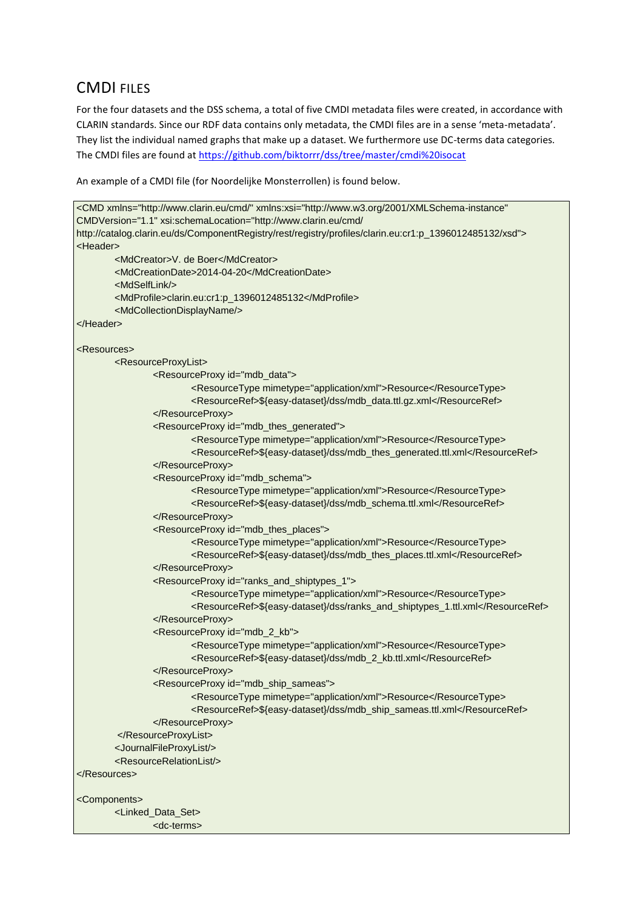# CMDI FILES

For the four datasets and the DSS schema, a total of five CMDI metadata files were created, in accordance with CLARIN standards. Since our RDF data contains only metadata, the CMDI files are in a sense 'meta-metadata'. They list the individual named graphs that make up a dataset. We furthermore use DC-terms data categories. The CMDI files are found at<https://github.com/biktorrr/dss/tree/master/cmdi%20isocat>

An example of a CMDI file (for Noordelijke Monsterrollen) is found below.

```
<CMD xmlns="http://www.clarin.eu/cmd/" xmlns:xsi="http://www.w3.org/2001/XMLSchema-instance" 
CMDVersion="1.1" xsi:schemaLocation="http://www.clarin.eu/cmd/ 
http://catalog.clarin.eu/ds/ComponentRegistry/rest/registry/profiles/clarin.eu:cr1:p_1396012485132/xsd">
<Header>
        <MdCreator>V. de Boer</MdCreator>
        <MdCreationDate>2014-04-20</MdCreationDate>
        <MdSelfLink/>
        <MdProfile>clarin.eu:cr1:p_1396012485132</MdProfile>
        <MdCollectionDisplayName/>
</Header>
<Resources>
        <ResourceProxyList>
                <ResourceProxy id="mdb_data">
                        <ResourceType mimetype="application/xml">Resource</ResourceType>
                        <ResourceRef>${easy-dataset}/dss/mdb_data.ttl.gz.xml</ResourceRef>
                </ResourceProxy>
                <ResourceProxy id="mdb_thes_generated">
                        <ResourceType mimetype="application/xml">Resource</ResourceType>
                        <ResourceRef>${easy-dataset}/dss/mdb_thes_generated.ttl.xml</ResourceRef>
                </ResourceProxy>
                <ResourceProxy id="mdb_schema">
                        <ResourceType mimetype="application/xml">Resource</ResourceType>
                        <ResourceRef>${easy-dataset}/dss/mdb_schema.ttl.xml</ResourceRef>
                </ResourceProxy>
                <ResourceProxy id="mdb_thes_places">
                        <ResourceType mimetype="application/xml">Resource</ResourceType>
                        <ResourceRef>${easy-dataset}/dss/mdb_thes_places.ttl.xml</ResourceRef>
                </ResourceProxy>
                <ResourceProxy id="ranks_and_shiptypes_1">
                        <ResourceType mimetype="application/xml">Resource</ResourceType>
                        <ResourceRef>${easy-dataset}/dss/ranks_and_shiptypes_1.ttl.xml</ResourceRef>
                </ResourceProxy>
                <ResourceProxy id="mdb_2_kb">
                        <ResourceType mimetype="application/xml">Resource</ResourceType>
                        <ResourceRef>${easy-dataset}/dss/mdb_2_kb.ttl.xml</ResourceRef>
                </ResourceProxy>
                <ResourceProxy id="mdb_ship_sameas">
                        <ResourceType mimetype="application/xml">Resource</ResourceType>
                        <ResourceRef>${easy-dataset}/dss/mdb_ship_sameas.ttl.xml</ResourceRef>
                </ResourceProxy>
        </ResourceProxyList>
        <JournalFileProxyList/>
        <ResourceRelationList/>
</Resources>
<Components>
        <Linked_Data_Set>
                <dc-terms>
```